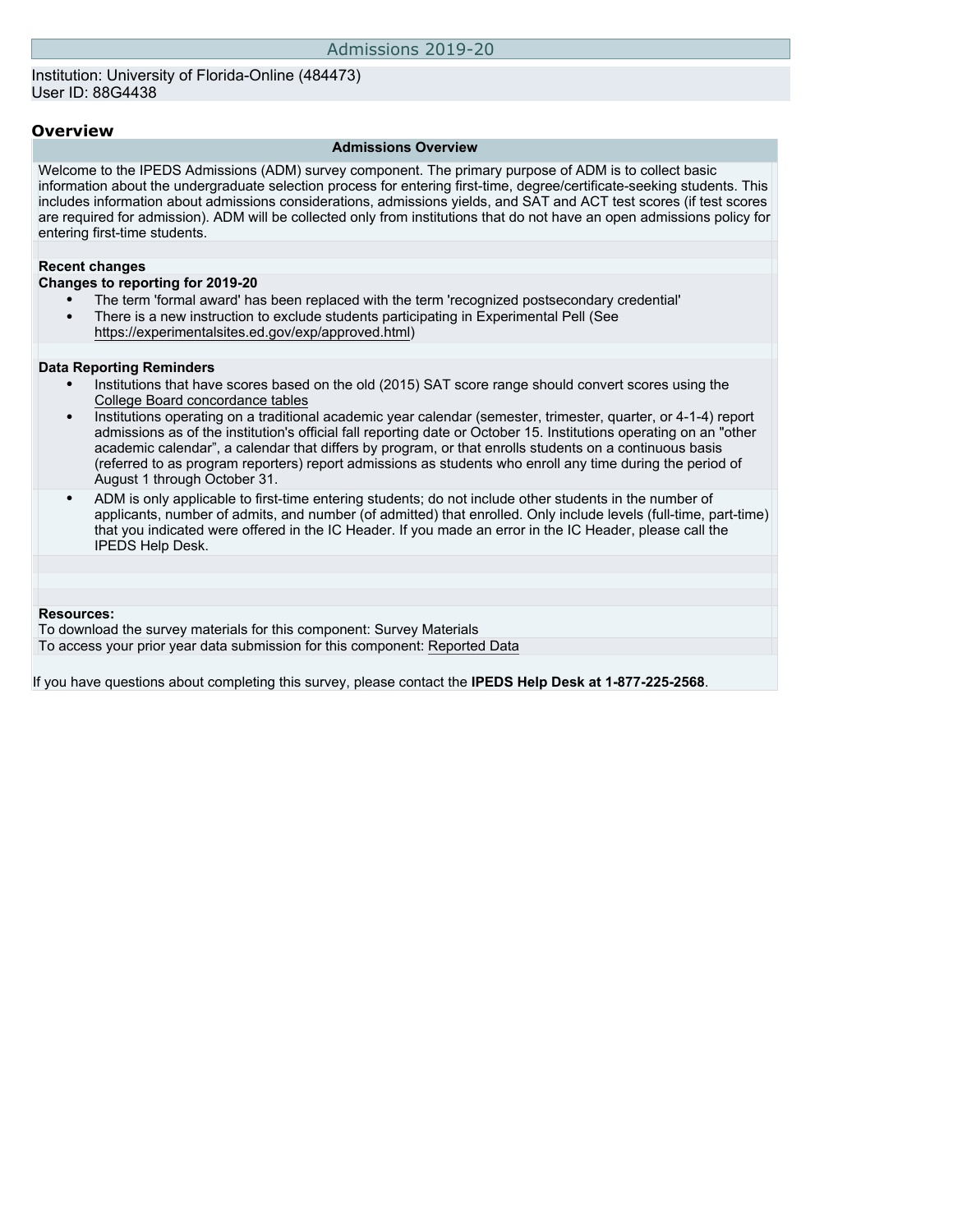## Institution: University of Florida-Online (484473) User ID: 88G4438

#### **Overview**

#### **Admissions Overview**

Welcome to the IPEDS Admissions (ADM) survey component. The primary purpose of ADM is to collect basic information about the undergraduate selection process for entering first-time, degree/certificate-seeking students. This includes information about admissions considerations, admissions yields, and SAT and ACT test scores (if test scores are required for admission). ADM will be collected only from institutions that do not have an open admissions policy for entering first-time students.

#### **Recent changes**

#### **Changes to reporting for 2019-20**

- The term 'formal award' has been replaced with the term 'recognized postsecondary credential'
- There is a new instruction to exclude students participating in Experimental Pell (See [https://experimentalsites.ed.gov/exp/approved.html\)](https://experimentalsites.ed.gov/exp/approved.html)

#### **Data Reporting Reminders**

- Institutions that have scores based on the old (2015) SAT score range should convert scores using the [College Board concordance tables](https://collegereadiness.collegeboard.org/educators/higher-ed/scoring-changes/concordance)
- Institutions operating on a traditional academic year calendar (semester, trimester, quarter, or 4-1-4) report admissions as of the institution's official fall reporting date or October 15. Institutions operating on an "other academic calendar", a calendar that differs by program, or that enrolls students on a continuous basis (referred to as program reporters) report admissions as students who enroll any time during the period of August 1 through October 31.
- ADM is only applicable to first-time entering students; do not include other students in the number of applicants, number of admits, and number (of admitted) that enrolled. Only include levels (full-time, part-time) that you indicated were offered in the IC Header. If you made an error in the IC Header, please call the IPEDS Help Desk.

#### **Resources:**

To download the survey materials for this component: [Survey Materials](https://surveys.nces.ed.gov/ipeds/VisIndex.aspx) To access your prior year data submission for this component: [Reported Data](http://192.168.102.89/ipeds/PriorYearDataRedirect.aspx?survey_id=14)

If you have questions about completing this survey, please contact the **IPEDS Help Desk at 1-877-225-2568**.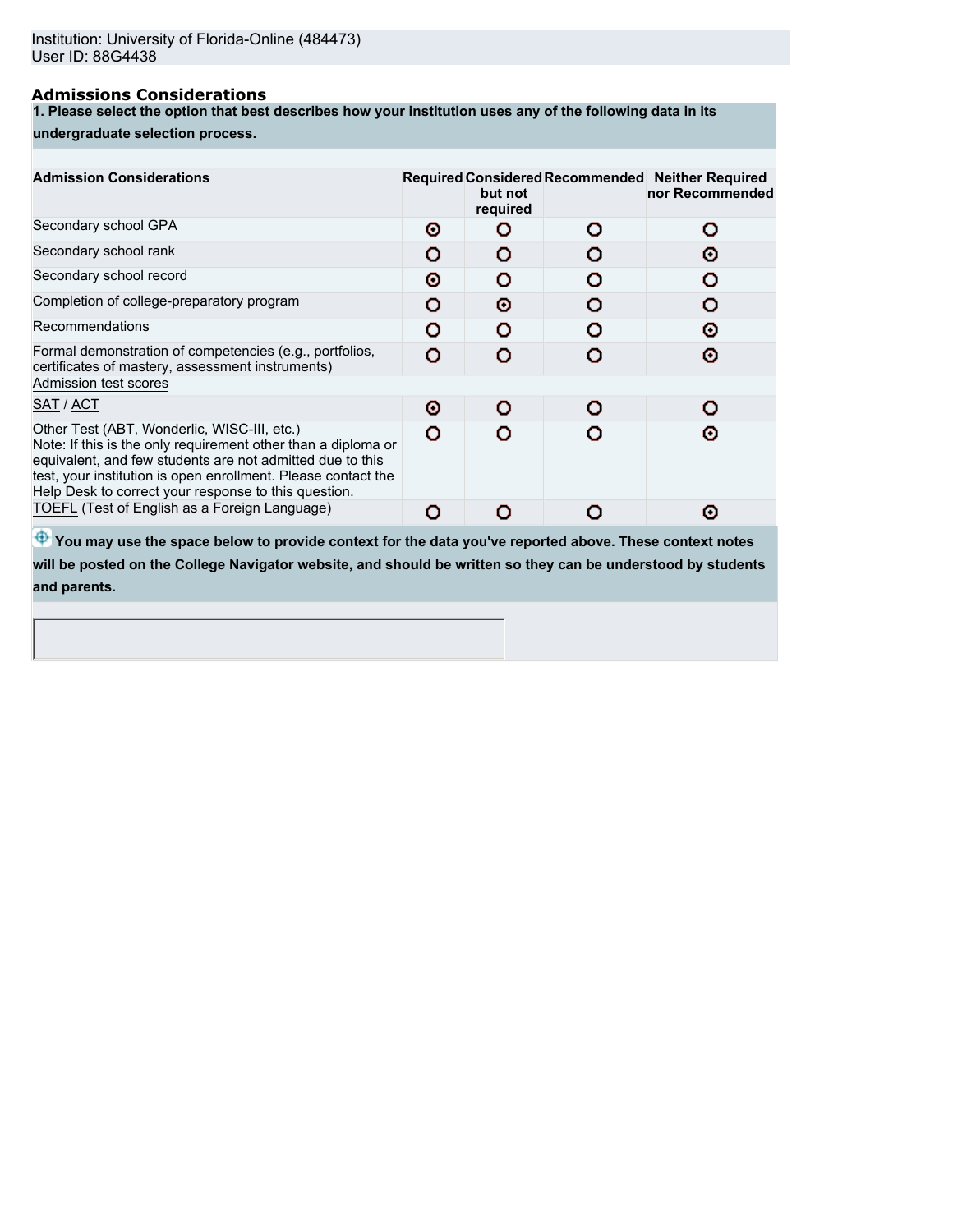## **Admissions Considerations**

**1. Please select the option that best describes how your institution uses any of the following data in its**

#### **undergraduate selection process.**

| <b>Admission Considerations</b>                                                                                                                                                                                                                                                                    |   | but not<br>required | Required Considered Recommended Neither Required<br>nor Recommended |
|----------------------------------------------------------------------------------------------------------------------------------------------------------------------------------------------------------------------------------------------------------------------------------------------------|---|---------------------|---------------------------------------------------------------------|
| Secondary school GPA                                                                                                                                                                                                                                                                               | Θ |                     | Ω                                                                   |
| Secondary school rank                                                                                                                                                                                                                                                                              | O |                     | Θ                                                                   |
| Secondary school record                                                                                                                                                                                                                                                                            | Θ | n                   |                                                                     |
| Completion of college-preparatory program                                                                                                                                                                                                                                                          | o | Θ                   |                                                                     |
| Recommendations                                                                                                                                                                                                                                                                                    | Ω | o                   | ര                                                                   |
| Formal demonstration of competencies (e.g., portfolios,<br>certificates of mastery, assessment instruments)                                                                                                                                                                                        | O |                     | Θ                                                                   |
| Admission test scores                                                                                                                                                                                                                                                                              |   |                     |                                                                     |
| SAT / ACT                                                                                                                                                                                                                                                                                          | Θ | O                   |                                                                     |
| Other Test (ABT, Wonderlic, WISC-III, etc.)<br>Note: If this is the only requirement other than a diploma or<br>equivalent, and few students are not admitted due to this<br>test, your institution is open enrollment. Please contact the<br>Help Desk to correct your response to this question. | Ο |                     | ര                                                                   |
| TOEFL (Test of English as a Foreign Language)                                                                                                                                                                                                                                                      | O |                     | ര                                                                   |
|                                                                                                                                                                                                                                                                                                    |   |                     |                                                                     |

 $\bigoplus$  **You may use the space below to provide context for the data you've reported above. These context notes will be posted on the College Navigator website, and should be written so they can be understood by students and parents.**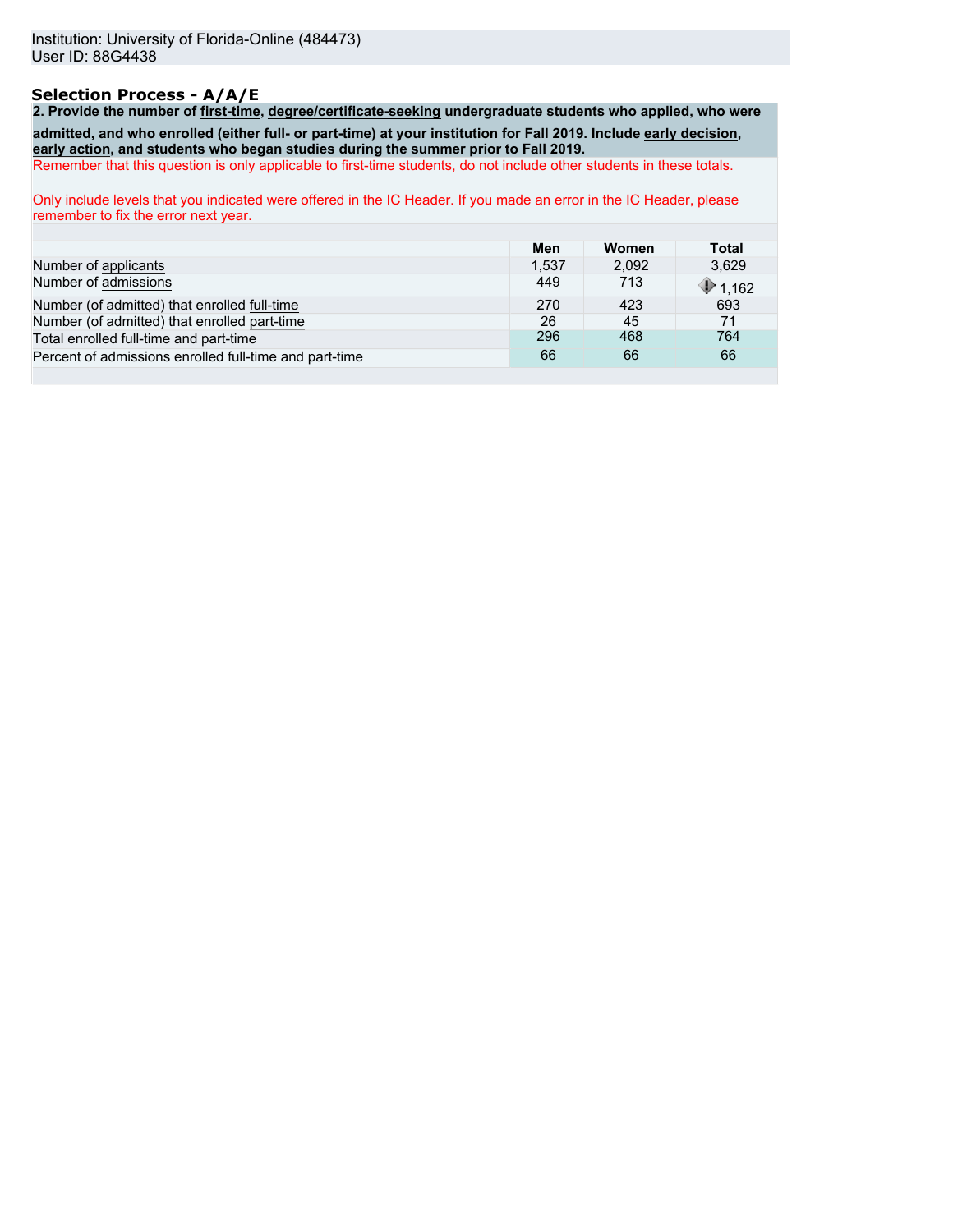## **Selection Process - A/A/E**

**2. Provide the number of first-time, degree/certificate-seeking undergraduate students who applied, who were admitted, and who enrolled (either full- or part-time) at your institution for Fall 2019. Include early decision, early action, and students who began studies during the summer prior to Fall 2019.**

Remember that this question is only applicable to first-time students, do not include other students in these totals.

Only include levels that you indicated were offered in the IC Header. If you made an error in the IC Header, please remember to fix the error next year.

|                                                        | Men   | Women | Total   |
|--------------------------------------------------------|-------|-------|---------|
| Number of applicants                                   | 1.537 | 2.092 | 3.629   |
| Number of admissions                                   | 449   | 713   | \$1,162 |
| Number (of admitted) that enrolled full-time           | 270   | 423   | 693     |
| Number (of admitted) that enrolled part-time           | 26    | 45    | 71      |
| Total enrolled full-time and part-time                 | 296   | 468   | 764     |
| Percent of admissions enrolled full-time and part-time | 66    | 66    | 66      |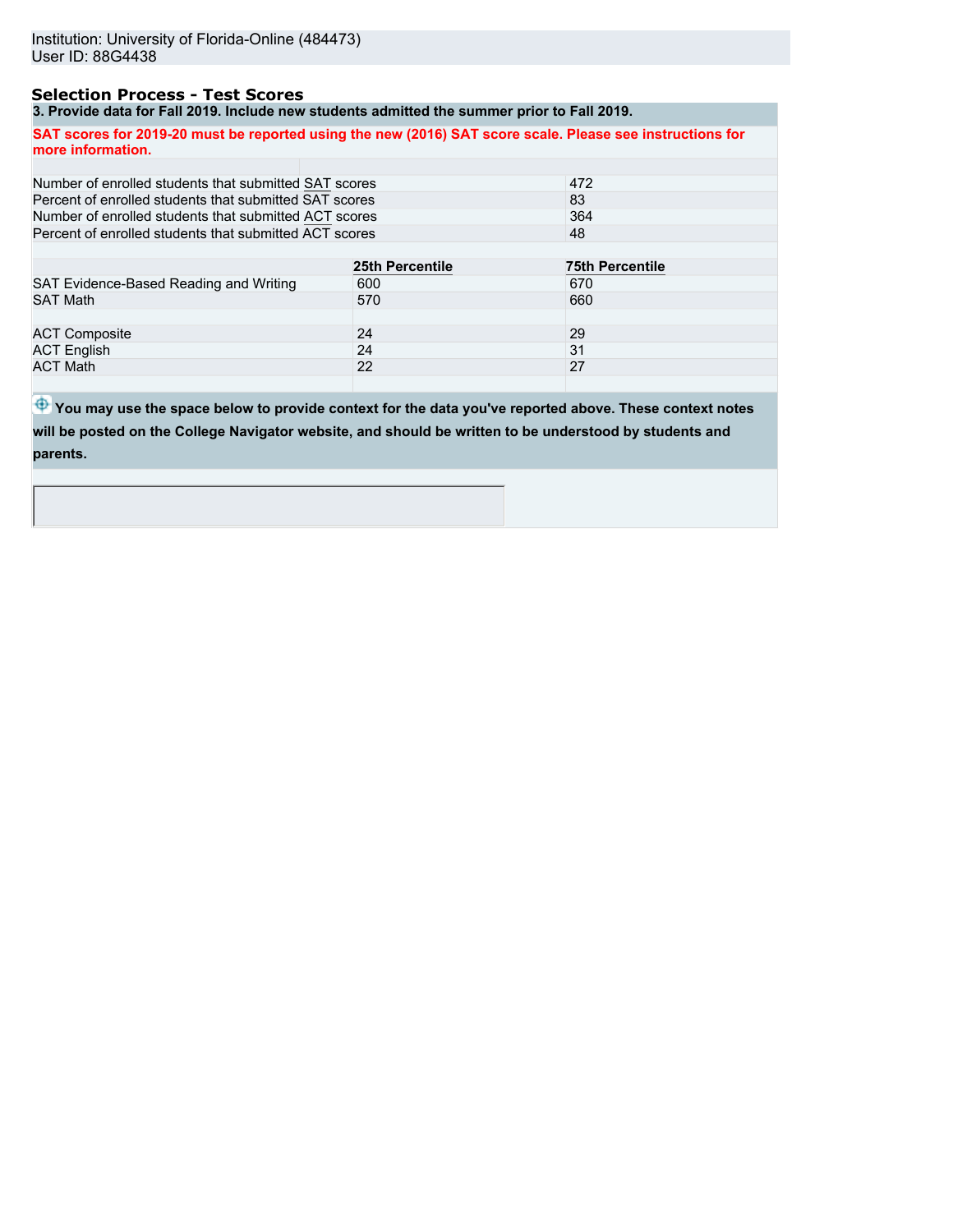## **Selection Process - Test Scores**

**3. Provide data for Fall 2019. Include new students admitted the summer prior to Fall 2019.**

**SAT scores for 2019-20 must be reported using the new (2016) SAT score scale. Please see instructions for more information.**

| Number of enrolled students that submitted SAT scores  |                 | 472                    |
|--------------------------------------------------------|-----------------|------------------------|
| Percent of enrolled students that submitted SAT scores |                 | 83                     |
| Number of enrolled students that submitted ACT scores  |                 | 364                    |
| Percent of enrolled students that submitted ACT scores |                 | 48                     |
|                                                        |                 |                        |
|                                                        | 25th Percentile | <b>75th Percentile</b> |
| SAT Evidence-Based Reading and Writing                 | 600             | 670                    |
| <b>SAT Math</b>                                        | 570             | 660                    |
|                                                        |                 |                        |
| <b>ACT Composite</b>                                   | 24              | 29                     |
| <b>ACT English</b>                                     | 24              | 31                     |
| <b>ACT Math</b>                                        | 22              | 27                     |
|                                                        |                 |                        |

 $\bigoplus$  **You may use the space below to provide context for the data you've reported above. These context notes will be posted on the College Navigator website, and should be written to be understood by students and parents.**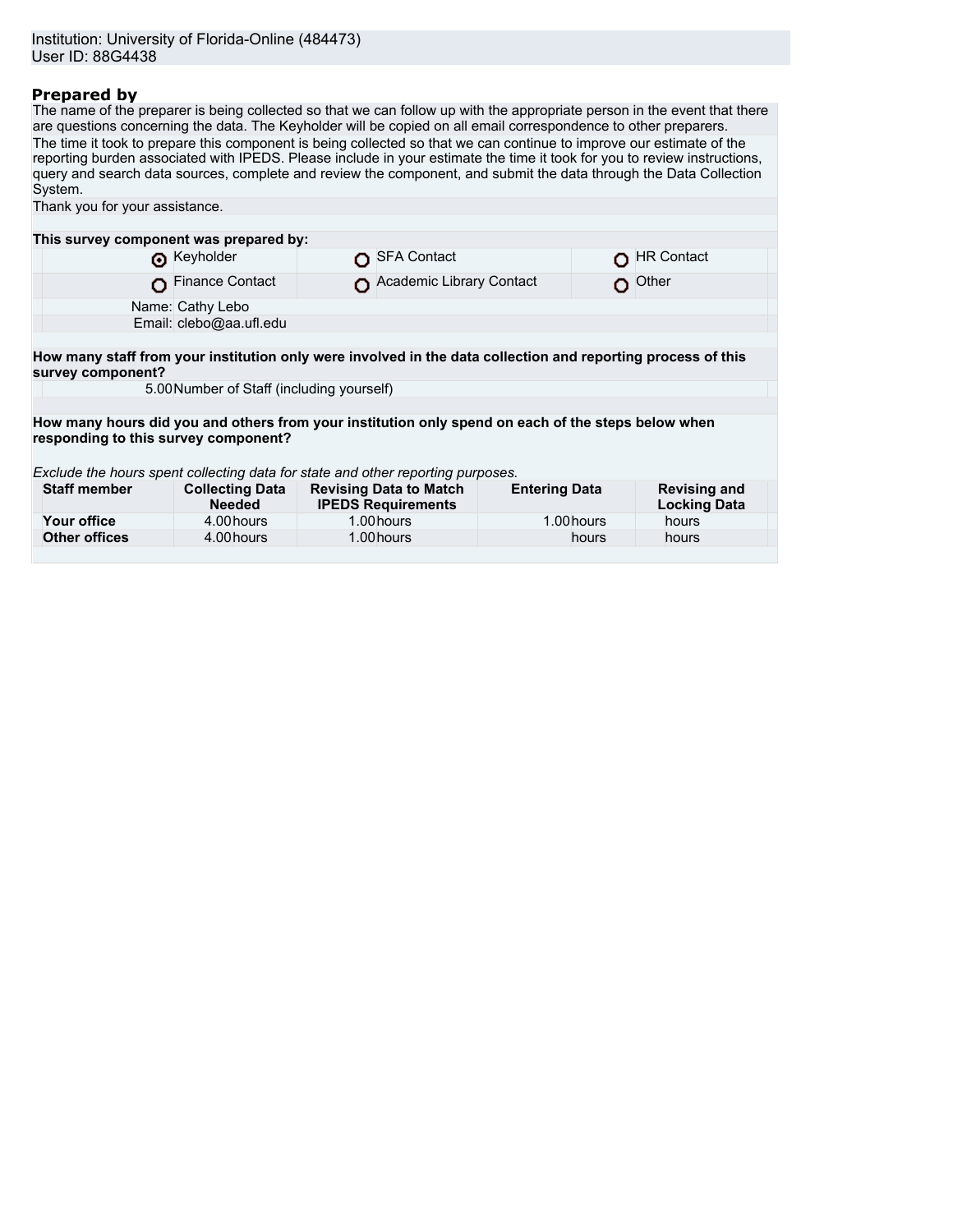## **Prepared by**

The name of the preparer is being collected so that we can follow up with the appropriate person in the event that there are questions concerning the data. The Keyholder will be copied on all email correspondence to other preparers. The time it took to prepare this component is being collected so that we can continue to improve our estimate of the reporting burden associated with IPEDS. Please include in your estimate the time it took for you to review instructions, query and search data sources, complete and review the component, and submit the data through the Data Collection System. Thank you for your assistance.

| This survey component was prepared by:                                                                                                     |                                           |  |                                                            |                      |                                            |  |
|--------------------------------------------------------------------------------------------------------------------------------------------|-------------------------------------------|--|------------------------------------------------------------|----------------------|--------------------------------------------|--|
|                                                                                                                                            | Reyholder                                 |  | SFA Contact                                                |                      | <b>HR Contact</b>                          |  |
|                                                                                                                                            | Finance Contact                           |  | Academic Library Contact                                   | o                    | Other                                      |  |
|                                                                                                                                            | Name: Cathy Lebo                          |  |                                                            |                      |                                            |  |
|                                                                                                                                            | Email: clebo@aa.ufl.edu                   |  |                                                            |                      |                                            |  |
|                                                                                                                                            |                                           |  |                                                            |                      |                                            |  |
| How many staff from your institution only were involved in the data collection and reporting process of this<br>survey component?          |                                           |  |                                                            |                      |                                            |  |
|                                                                                                                                            | 5.00 Number of Staff (including yourself) |  |                                                            |                      |                                            |  |
|                                                                                                                                            |                                           |  |                                                            |                      |                                            |  |
| How many hours did you and others from your institution only spend on each of the steps below when<br>responding to this survey component? |                                           |  |                                                            |                      |                                            |  |
| Exclude the hours spent collecting data for state and other reporting purposes.                                                            |                                           |  |                                                            |                      |                                            |  |
| <b>Staff member</b>                                                                                                                        | <b>Collecting Data</b><br><b>Needed</b>   |  | <b>Revising Data to Match</b><br><b>IPEDS Requirements</b> | <b>Entering Data</b> | <b>Revising and</b><br><b>Locking Data</b> |  |
| Your office                                                                                                                                | 4.00 hours                                |  | 1.00 hours                                                 | 1.00 hours           | hours                                      |  |
| <b>Other offices</b>                                                                                                                       | 4.00 hours                                |  | 1.00 hours                                                 | hours                | hours                                      |  |
|                                                                                                                                            |                                           |  |                                                            |                      |                                            |  |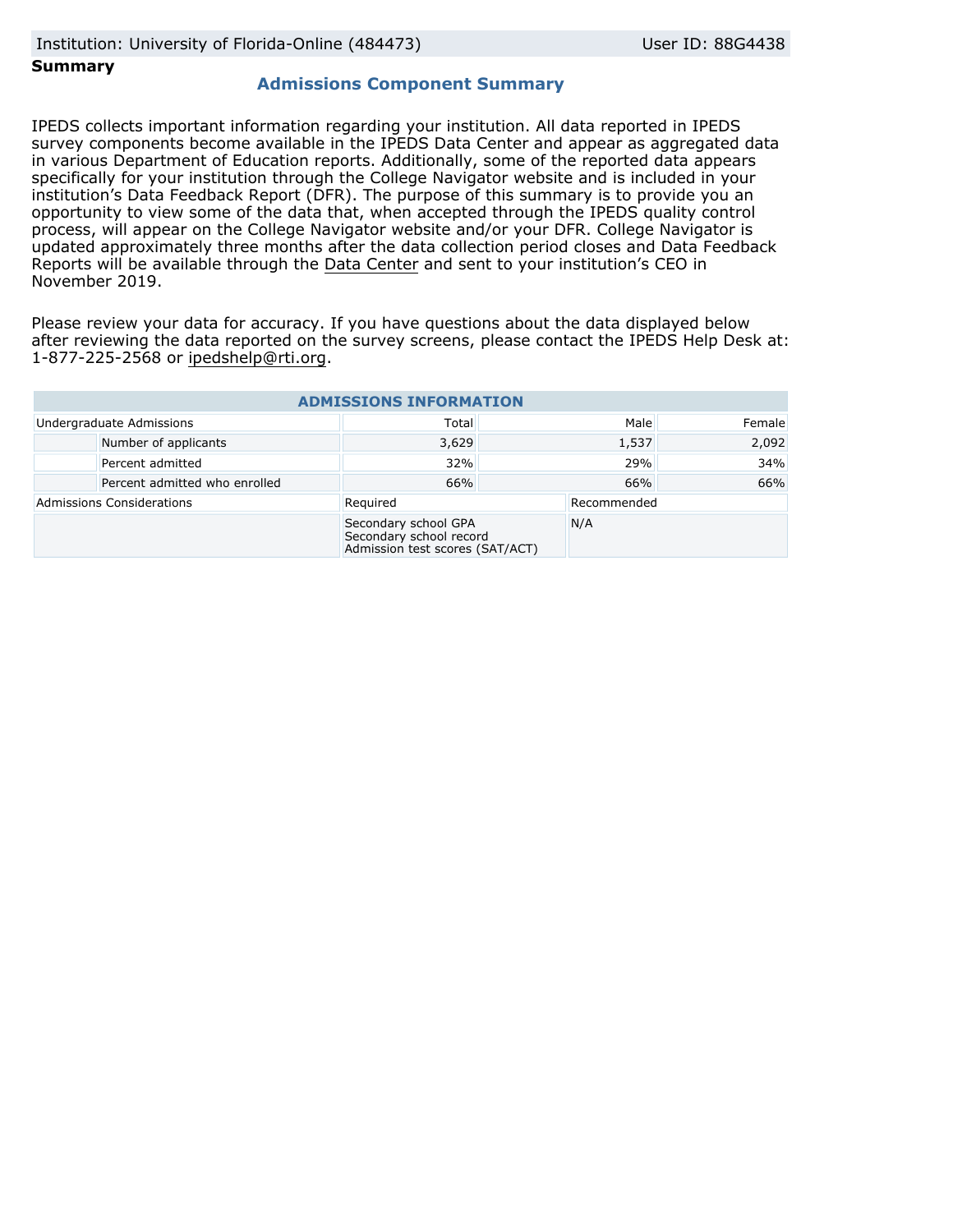### **Summary**

## **Admissions Component Summary**

IPEDS collects important information regarding your institution. All data reported in IPEDS survey components become available in the IPEDS Data Center and appear as aggregated data in various Department of Education reports. Additionally, some of the reported data appears specifically for your institution through the College Navigator website and is included in your institution's Data Feedback Report (DFR). The purpose of this summary is to provide you an opportunity to view some of the data that, when accepted through the IPEDS quality control process, will appear on the College Navigator website and/or your DFR. College Navigator is updated approximately three months after the data collection period closes and Data Feedback Reports will be available through the [Data Center](https://nces.ed.gov/ipeds/use-the-data) and sent to your institution's CEO in November 2019.

Please review your data for accuracy. If you have questions about the data displayed below after reviewing the data reported on the survey screens, please contact the IPEDS Help Desk at: 1-877-225-2568 or ipedshelp@rti.org.

| <b>ADMISSIONS INFORMATION</b> |                               |                                                                                    |     |             |        |  |
|-------------------------------|-------------------------------|------------------------------------------------------------------------------------|-----|-------------|--------|--|
|                               | Undergraduate Admissions      | Total                                                                              |     | Male        | Female |  |
|                               | Number of applicants          | 3,629                                                                              |     | 1,537       | 2,092  |  |
|                               | Percent admitted              | 32%                                                                                | 29% |             | 34%    |  |
|                               | Percent admitted who enrolled | 66%                                                                                | 66% |             | 66%    |  |
|                               | Admissions Considerations     | Required                                                                           |     | Recommended |        |  |
|                               |                               | Secondary school GPA<br>Secondary school record<br>Admission test scores (SAT/ACT) |     | N/A         |        |  |